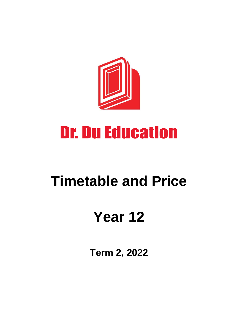

# **Dr. Du Education**

# **Timetable and Price**

# **Year 12**

**Term 2, 2022**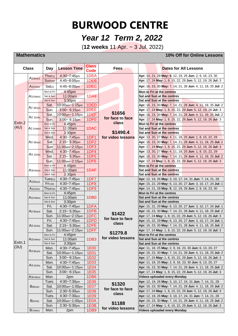## **BURWOOD CENTRE**

## *Year 12 Term 2, 2022*

(**12 weeks** 11 Apr. ~ 3 Jul. 2022)

### **Mathematics 10% Off for Online Lessons**

| <b>Class</b> |                                                                           | Day                              | <b>Lesson Time</b>         | <b>Class</b><br><b>Code</b> | <b>Fees</b>                                              | <b>Dates for All Lessons</b>                                                                                             |
|--------------|---------------------------------------------------------------------------|----------------------------------|----------------------------|-----------------------------|----------------------------------------------------------|--------------------------------------------------------------------------------------------------------------------------|
|              |                                                                           | Thur(J)                          | 4:30~7:45pm                | 1DEA                        |                                                          | Apr: 14, 21, 28 May: 5, 12, 19, 26 Jun: 2, 9, 16, 23, 30                                                                 |
|              | A1(Boys)                                                                  | Sum(w)                           | 4:45~8:00pm                | 1DEB                        |                                                          | Apr: 17, 24 May: 1, 8, 15, 22, 29 Jun: 5, 12, 19, 26 Jul: 3                                                              |
|              | A1(Girls)                                                                 | $Sat$ (J)                        | 4:45~8:00pm                | 1DEC                        |                                                          | Apr: 16, 23, 30 May: 7, 14, 21, 28 Jun: 4, 11, 18, 25 Jul: 2                                                             |
|              |                                                                           | Mon to Fri                       | 4:45pm                     |                             |                                                          | Mon to Fri at the centres                                                                                                |
|              | $A1$ (Video)                                                              | Sat & Sun                        | 11:00am                    | 1DA9                        |                                                          | Sat and Sun at the centres                                                                                               |
|              |                                                                           | Sat & Sun                        | 3:30pm                     |                             |                                                          | Sat and Sun at the centres                                                                                               |
|              | A <sub>2</sub> (Boys)<br>A <sub>2</sub> (Girls)<br>A <sub>2</sub> (Video) | Sat.                             | 10:00am~1:15pm             | 1DED                        | \$1656<br>for face to face<br>class                      | Apr: 16, 23, 30 May: 7, 14, 21, 28 Jun: 4, 11, 18, 25 Jul: 2                                                             |
|              |                                                                           | Sun.                             | $3:00 - 6:15$ pm           | 1DEE                        |                                                          | Apr: 17, 24 May: 1, 8, 15, 22, 29 Jun: 5, 12, 19, 26 Jul: 3                                                              |
|              |                                                                           | Sat.                             | 10:00am~1:15pm             | 1DEF                        |                                                          | Apr: 16, 23, 30 May: 7, 14, 21, 28 Jun: 4, 11, 18, 25 Jul: 2                                                             |
| Extn.2       |                                                                           | Sun.                             | $3:00 - 6:15$ pm           | 1DF <sub>0</sub>            |                                                          | Apr: 17, 24 May: 1, 8, 15, 22, 29 Jun: 5, 12, 19, 26 Jul: 3                                                              |
|              |                                                                           | Mon to Fri                       | 4:45pm                     |                             |                                                          | Mon to Fri at the centres                                                                                                |
| (4U)         |                                                                           | Sat & Sun                        | 11:00am                    | 1DAC                        |                                                          | Sat and Sun at the centres                                                                                               |
|              |                                                                           | Sat & Sun                        | 3:30pm                     |                             | \$1490.4                                                 | Sat and Sun at the centres                                                                                               |
|              |                                                                           | Wed.                             | 4:30~7:45pm                | 1DF1                        | for video lessons                                        | Apr: 13, 20, 27 May: 4, 11, 18, 25 Jun: 1, 8, 15, 22, 29                                                                 |
|              | A <sub>3</sub> (Boys)                                                     | Sat                              | $2:15 - 5:30$ pm           | 1DF <sub>2</sub>            |                                                          | Apr: 16, 23, 30 May: 7, 14, 21, 28 Jun: 4, 11, 18, 25 Jul: 2                                                             |
|              |                                                                           | Sun                              | 11:00am~2:15pm             | 1DF3                        |                                                          | Apr: 17, 24 May: 1, 8, 15, 22, 29 Jun: 5, 12, 19, 26 Jul: 3                                                              |
|              | $A3$ (Girls)                                                              | Wed.                             | $4:30 - 7:45$ pm           | 1DF4                        |                                                          | Apr: 13, 20, 27 May: 4, 11, 18, 25 Jun: 1, 8, 15, 22, 29                                                                 |
|              |                                                                           | Sat.                             | $2:15 - 5:30$ pm           | 1DF <sub>5</sub>            |                                                          | Apr: 16, 23, 30 May: 7, 14, 21, 28 Jun: 4, 11, 18, 25 Jul: 2                                                             |
|              |                                                                           | Sun.                             | 11:00am~2:15pm             | 1DF <sub>6</sub>            |                                                          | Apr: 17, 24 May: 1, 8, 15, 22, 29 Jun: 5, 12, 19, 26 Jul: 3                                                              |
|              |                                                                           | Mon to Fri                       | 4:45pm                     |                             |                                                          | Mon to Fri at the centres                                                                                                |
|              | A3(Video)                                                                 | Sat & Sun<br>Sat & Sun           | 11:00am                    | 1DAF                        |                                                          | Sat and Sun at the centres<br>Sat and Sun at the centres                                                                 |
|              |                                                                           |                                  | 3:30pm<br>4:30~7:45pm      | 1DF7                        |                                                          |                                                                                                                          |
|              | A1(Boys)                                                                  | Tues <sub>(J)</sub><br>$Fri$ (w) |                            | 1DF8                        |                                                          | Apr: 12, 19, 26 May: 3, 10, 17, 24, 31 Jun: 7, 14, 21, 28                                                                |
|              |                                                                           | Thur(w)                          | 4:30~7:45pm<br>4:30~7:45pm | 1DF9                        |                                                          | Apr: 15, 22, 29 May: 6, 13, 20, 27 Jun: 3, 10, 17, 24 Jul: 1<br>Apr: 14, 21, 28 May: 5, 12, 19, 26 Jun: 2, 9, 16, 23, 30 |
|              | A1(Girls)                                                                 | Mon to Fri                       | 4:45pm                     | 1DB <sub>0</sub>            |                                                          | Mon to Fri at the centres                                                                                                |
|              | $A1$ (Video)                                                              | Sat & Sun                        | 11:00am                    |                             |                                                          | Sat and Sun at the centres                                                                                               |
|              |                                                                           | Sat & Sun                        | 3:30pm                     |                             |                                                          | Sat and Sun at the centres                                                                                               |
|              |                                                                           | Fri.                             | 4:30~7:45pm                | 1DFA                        |                                                          | Apr: 15, 22, 29 May: 6, 13, 20, 27 Jun: 3, 10, 17, 24 Jul: 1                                                             |
|              | $A2$ (Boys)                                                               | Sat.                             | $2:15 - 5:30$ pm           | 1DFB                        |                                                          | Apr: 16, 23, 30 May: 7, 14, 21, 28 Jun: 4, 11, 18, 25 Jul: 2                                                             |
|              |                                                                           | Sun.                             | 11:00am~2:15pm             | 1DFC                        | \$1422<br>for face to face<br>class<br>\$1279.8          | Apr: 17, 24 May: 1, 8, 15, 22, 29 Jun: 5, 12, 19, 26 Jul: 3                                                              |
|              | $A2$ (Girls)                                                              | Fri.                             | $4:30 - 7:45$ pm           | 1DFD                        |                                                          | Apr: 15, 22, 29 May: 6, 13, 20, 27 Jun: 3, 10, 17, 24 Jul: 1                                                             |
|              |                                                                           | Sat.                             | $2:15 - 5:30$ pm           | 1DFE                        |                                                          | Apr: 16, 23, 30 May: 7, 14, 21, 28 Jun: 4, 11, 18, 25 Jul: 2                                                             |
|              |                                                                           | Sun.                             | 11:00am~2:15pm             | 1DFF                        |                                                          | Apr: 17, 24 May: 1, 8, 15, 22, 29 Jun: 5, 12, 19, 26 Jul: 3                                                              |
|              | $A2$ (Video)                                                              | Mon to Fri                       | 4:45pm                     | 1DB <sub>3</sub>            |                                                          | Mon to Fri at the centres                                                                                                |
|              |                                                                           | Sat & Sun                        | 11:00am                    |                             | for video lessons                                        | Sat and Sun at the centres                                                                                               |
| Extn.1       |                                                                           | Sat & Sun                        | 3:30pm                     |                             |                                                          | Sat and Sun at the centres                                                                                               |
| (3U)         | A <sub>3</sub> (Boys)                                                     | Mon.                             | 4:30~7:45pm                | <b>1E00</b>                 |                                                          | Apr: 11, 18, 25 May: 2, 9, 16, 23, 30 Jun: 6, 13, 20, 27                                                                 |
|              |                                                                           | Sat.                             | 10:00am~1:15pm             | <b>1E01</b>                 |                                                          | Apr: 16, 23, 30 May: 7, 14, 21, 28 Jun: 4, 11, 18, 25 Jul: 2                                                             |
|              |                                                                           | Sun.                             | $3:00 - 6:15$ pm           | 1E02                        |                                                          | Apr: 17, 24 May: 1, 8, 15, 22, 29 Jun: 5, 12, 19, 26 Jul: 3                                                              |
|              | $A3$ (Girls)                                                              | Mon.                             | 4:30~7:45pm                | 1E03                        |                                                          | Apr: 11, 18, 25 May: 2, 9, 16, 23, 30 Jun: 6, 13, 20, 27                                                                 |
|              |                                                                           | Sat.                             | 10:00am~1:15pm             | 1E04                        |                                                          | Apr: 16, 23, 30 May: 7, 14, 21, 28 Jun: 4, 11, 18, 25 Jul: 2                                                             |
|              |                                                                           | Sun.                             | $3:00 - 6:15$ pm           | 1E05                        |                                                          | Apr: 17, 24 May: 1, 8, 15, 22, 29 Jun: 5, 12, 19, 26 Jul: 3                                                              |
|              | $A3$ (Video)                                                              | Mon.                             | 2pm                        | 1DB <sub>6</sub>            |                                                          | <b>Videos uploaded every Monday</b>                                                                                      |
|              | $B$ (Boys)                                                                | Tues.                            | 4:30~7:30pm                | 1E06                        | \$1320                                                   | Apr: 12, 19, 26 May: 3, 10, 17, 24, 31 Jun: 7, 14, 21, 28                                                                |
|              |                                                                           | Sat.                             | 10:00am~1:00pm             | 1E07                        | for face to face<br>class<br>\$1188<br>for video lessons | Apr: 16, 23, 30 May: 7, 14, 21, 28 Jun: 4, 11, 18, 25 Jul: 2                                                             |
|              |                                                                           | Sun.                             | 2:30~5:30pm                | 1E08                        |                                                          | Apr: 17, 24 May: 1, 8, 15, 22, 29 Jun: 5, 12, 19, 26 Jul: 3                                                              |
|              | $B$ (Girls)                                                               | Tues.                            | 4:30~7:30pm                | 1E09                        |                                                          | Apr: 12, 19, 26 May: 3, 10, 17, 24, 31 Jun: 7, 14, 21, 28                                                                |
|              |                                                                           | Sat.                             | 10:00am~1:00pm             | 1E0A                        |                                                          | Apr: 16, 23, 30 May: 7, 14, 21, 28 Jun: 4, 11, 18, 25 Jul: 2                                                             |
|              |                                                                           | Sun.                             | 2:30~5:30pm                | 1E0B                        |                                                          | Apr: 17, 24 May: 1, 8, 15, 22, 29 Jun: 5, 12, 19, 26 Jul: 3                                                              |
|              | B(Video)                                                                  | Mon.                             | 2pm                        | 1DB9                        |                                                          | Videos uploaded every Monday                                                                                             |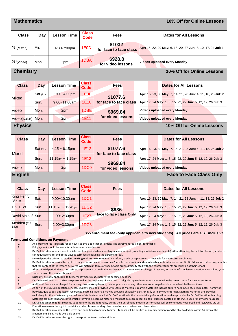| <b>Mathematics</b><br>10% Off for Online Lessons                                                                                                            |            |                         |                             |                                  |                                                              |  |
|-------------------------------------------------------------------------------------------------------------------------------------------------------------|------------|-------------------------|-----------------------------|----------------------------------|--------------------------------------------------------------|--|
| <b>Class</b>                                                                                                                                                | Day        | <b>Lesson Time</b>      | <b>Class</b><br><b>Code</b> | <b>Fees</b>                      | <b>Dates for All Lessons</b>                                 |  |
| 2U(Mixed)                                                                                                                                                   | Fri.       | 4:30-7:00pm             | 1E <sub>0</sub> D           | \$1032<br>for face to face class | Apr: 15, 22, 29 May: 6, 13, 20, 27 Jun: 3, 10, 17, 24 Jul: 1 |  |
| 2U(Video)                                                                                                                                                   | Mon.       | 2pm                     | 1DBA                        | \$928.8<br>for video lessons     | Videos uploaded every Monday                                 |  |
| <b>Chemistry</b><br>10% Off for Online Lessons                                                                                                              |            |                         |                             |                                  |                                                              |  |
| <b>Class</b>                                                                                                                                                | <b>Day</b> | <b>Lesson Time</b>      | <b>Class</b><br><b>Code</b> | <b>Fees</b>                      | <b>Dates for All Lessons</b>                                 |  |
|                                                                                                                                                             | Sat.(PL)   | 2:00~4:00pm             | 1E <sub>OF</sub>            | \$1077.6                         | Apr: 16, 23, 30 May: 7, 14, 21, 28 Jun: 4, 11, 18, 25 Jul: 2 |  |
| <b>Mixed</b>                                                                                                                                                | Sun.       | $9:00 - 11:00$ am       | 1E10                        | for face to face class           | Apr: 17, 24 May: 1, 8, 15, 22, 29 Jun: 5, 12, 19, 26 Jul: 3  |  |
| Video                                                                                                                                                       | Mon.       | 2pm                     | 1DBE                        | \$969.84                         | Videos uploaded every Monday                                 |  |
| Video(N.S.B)                                                                                                                                                | Mon.       | 2pm                     | 1E11                        | for video lessons                | <b>Videos uploaded every Monday</b>                          |  |
| <b>Physics</b><br>10% Off for Online Lessons                                                                                                                |            |                         |                             |                                  |                                                              |  |
| <b>Class</b>                                                                                                                                                | Day        | <b>Lesson Time</b>      | <b>Class</b><br><b>Code</b> | <b>Fees</b>                      | <b>Dates for All Lessons</b>                                 |  |
|                                                                                                                                                             | Sat (PL)   | $4:15 \sim 6:15$ pm     | 1E12                        | \$1077.6                         | Apr: 16, 23, 30 May: 7, 14, 21, 28 Jun: 4, 11, 18, 25 Jul: 2 |  |
| Mixed                                                                                                                                                       | Sun.       | $11:15$ am ~ 1:15pm     | 1E13                        | for face to face class           | Apr: 17, 24 May: 1, 8, 15, 22, 29 Jun: 5, 12, 19, 26 Jul: 3  |  |
| Video                                                                                                                                                       | Mon.       | 2 <sub>p</sub> m        | 1DC <sub>0</sub>            | \$969.84<br>for video lessons    | <b>Videos uploaded every Monday</b>                          |  |
| <b>English</b><br><b>Face to Face Class Only</b>                                                                                                            |            |                         |                             |                                  |                                                              |  |
| <b>Class</b>                                                                                                                                                | Day        | <b>Lesson Time</b>      | <b>Class</b><br>Code        | <b>Fees</b>                      | <b>Dates for All Lessons</b>                                 |  |
| <b>King Henry</b><br>$IV$ (HK)                                                                                                                              | Sat.       | $9:00 - 10:30$ am       | <b>1DC1</b>                 |                                  | Apr: 16, 23, 30 May: 7, 14, 21, 28 Jun: 4, 11, 18, 25 Jul: 2 |  |
| T.S. Eliot                                                                                                                                                  | Sun.       | $11:15$ am ~ $12:45$ pm | 1DC <sub>2</sub>            | \$936                            | Apr: 17, 24 May: 1, 8, 15, 22, 29 Jun: 5, 12, 19, 26 Jul: 3  |  |
| David Malouf                                                                                                                                                | Sun        | $1:00 - 2:30$ pm        | <b>1F27</b>                 | face to face class Only          | Apr: 17, 24 May: 1, 8, 15, 22, 29 Jun: 5, 12, 19, 26 Jul: 3  |  |
| Meriden (T.S.<br>Eliot)                                                                                                                                     | Sun.       | $2:00 - 3:30$ pm        | 1DC <sub>3</sub>            |                                  | Apr: 17, 24 May: 1, 8, 15, 22, 29 Jun: 5, 12, 19, 26 Jul: 3  |  |
| \$55 enrolment fee (only applicable to new students). All prices are GST inclusive.                                                                         |            |                         |                             |                                  |                                                              |  |
| <b>Terms and Conditions on Payment</b><br>An enrolment fee is payable for all new students upon first enrolment. The enrolment fee is non-refundable.<br>1. |            |                         |                             |                                  |                                                              |  |

2. Full payment should be made for at least a term in advance.

3. Dr. Du Education offers students a 2-lesson trial period when enrolling in a new subject (excluding multi-term enrolments). After attending the first two lessons, students can request for a refund of the unused term fees (excluding the enrolment fee).

4. No trial period is offered to students making multi-term enrolments. No refund, credit or replacement is available for multi-term enrolments.

5. Dr. Du Education reserves the right to change the curriculum, class time/date, lesson duration and class teacher without prior notice. Dr. Du Education makes no guarantee that the content of the lessons delivered will match (in terms of speed, topic order, difficulty etc.) with the content students are studying at their school.

6. After the trial period, there is no refund, replacement or credit due to absence, early termination, change of teacher, lesson time/date, lesson duration, curriculum, your status or any other circumstances.

7. Discounts are only applicable to full term payments made before the specified deadline.

8. Dr. Du Awards with cash prizes are presented at the beginning of each term to eligible top students who are enrolled in the same course for the current term.

9. Additional fees may be charged for moving class, makeup lessons, catch-up lessons, or any other lessons arranged outside the scheduled lesson times.<br>10. As part of the Dr. Du Education services, students may be provided

10. As part of the Dr. Du Education services, students may be provided with Learning Materials. Learning Materials include but are not limited to, lecture notes, homework booklets, quiz papers and lesson recordings. Learning Materials may be provided physically, electronically or in any other format. Learning Materials are provided exclusively for the private and personal use of students enrolled at Dr. Du Education in their undertaking of education services provided by Dr. Du Education. Learning Materials are copyright and confidential information. Learning materials must not be reproduced, on-sold, published, gifted or otherwise used for any other purpose. 11. Dr. Du Education requires students to adhere to the Student Policy during their enrolment. Student performance will be continuously observed and reviewed. Dr. Du

Education reserves the right to restrict a student from attending class based on such reviews and observations.

12. Dr. Du Education may amend the terms and conditions from time to time. Students will be notified of any amendments and be able to decline within 14 days of the amendments being made available online.

13. Dr. Du Education reserves the right to interpret the terms and conditions.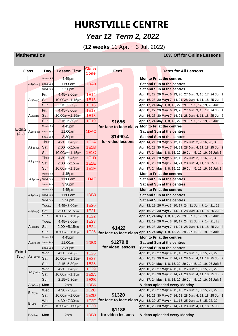# **HURSTVILLE CENTRE**

### *Year 12 Term 2, 2022*

(**12 weeks** 11 Apr. ~ 3 Jul. 2022)

 **Mathematics 10% Off for Online Lessons**

| <b>Class</b> |                        | Day        | <b>Lesson Time</b> | <b>Class</b><br>Code | <b>Fees</b>            | <b>Dates for All Lessons</b>                                                    |
|--------------|------------------------|------------|--------------------|----------------------|------------------------|---------------------------------------------------------------------------------|
|              |                        | Mon to Fri | 4:45pm             |                      |                        | Mon to Fri at the centres                                                       |
|              | $A1$ (Video)           | Sat & Sun  | 11:00am            | 1DA9                 |                        | Sat and Sun at the centres                                                      |
|              |                        | Sat & Sun  | 3:30 <sub>pm</sub> |                      |                        | Sat and Sun at the centres                                                      |
|              | A2(Boys)               | Fri.       | $4:45 - 8:00$ pm   | <b>1E14</b>          |                        | Apr: 15, 22, 29 May: 6, 13, 20, 27 Jun: 3, 10, 17, 24 Jul: 1                    |
|              |                        | lSat.      | 10:00am~1:15pm     | 1E15                 |                        | Apr: 16, 23, 30 May: 7, 14, 21, 28 Jun: 4, 11, 18, 25 Jul: 2                    |
|              |                        | Sun.       | $2:15 - 5:30$ pm   | 1E16                 |                        | Apr: 17, 24 May: 1, 8, 15, 22, 29 Jun: 5, 12, 19, 26 Jul: 3                     |
|              | A2(Girls)              | Fri.       | 4:45~8:00pm        | <b>1E17</b>          |                        | Apr: 15, 22, 29 May: 6, 13, 20, 27 Jun: 3, 10, 17, 24 Jul: 1                    |
|              |                        | Sat.       | 10:00am~1:15pm     | <b>1E18</b>          |                        | Apr: 16, 23, 30 May: 7, 14, 21, 28 Jun: 4, 11, 18, 25 Jul: 2                    |
|              |                        | Sun.       | $2:15 - 5:30$ pm   | 1E19                 | \$1656                 | Apr: 17, 24 May: 1, 8, 15, 22, 29 Jun: 5, 12, 19, 26 Jul: 3                     |
| Extn.2       | A <sub>2</sub> (Video) | Mon to Fri | $4:45$ pm          | 1DAC                 | for face to face class | Mon to Fri at the centres                                                       |
| (4U)         |                        | Sat & Sun  | 11:00am            |                      |                        | Sat and Sun at the centres                                                      |
|              |                        | Sat & Sun  | 3:30pm             |                      | \$1490.4               | Sat and Sun at the centres                                                      |
|              |                        | Thur.      | $4:30 - 7:45$ pm   | <b>1E1A</b>          | for video lessons      | Apr: 14, 21, 28 May: 5, 12, 19, 26 Jun: 2, 9, 16, 23, 30                        |
|              | $A3$ (Boys)            | Sat.       | $2:00 - 5:15$ pm   | 1E1B                 |                        | Apr: 16, 23, 30 May: 7, 14, 21, 28 Jun: 4, 11, 18, 25 Jul: 2                    |
|              |                        | lSun.      | 10:00am~1:15pm     | <b>1E1C</b>          |                        | Apr: 17, 24 May: 1, 8, 15, 22, 29 Jun: 5, 12, 19, 26 Jul: 3                     |
|              | A <sub>3</sub> (Girls) | Thur.      | $4:30 - 7:45$ pm   | <b>1E1D</b>          |                        | Apr: 14, 21, 28 May: 5, 12, 19, 26 Jun: 2, 9, 16, 23, 30                        |
|              |                        | Sat.       | $2:00 - 5:15$ pm   | 1E1E                 |                        | Apr: 16, 23, 30 May: 7, 14, 21, 28 Jun: 4, 11, 18, 25 Jul: 2                    |
|              |                        | Sun.       | 10:00am~1:15pm     | 1E1F                 |                        | Apr: 17, 24 May: 1, 8, 15, 22, 29 Jun: 5, 12, 19, 26 Jul: 3                     |
|              |                        | Mon to Fri | $4:45$ pm          | 1DAF                 |                        | Mon to Fri at the centres                                                       |
|              | A3(Video) Sat & Sun    |            | 11:00am            |                      |                        | Sat and Sun at the centres                                                      |
|              |                        | Sat & Sun  | 3:30pm             |                      |                        | Sat and Sun at the centres                                                      |
|              |                        | Mon to Fri | $4:45$ pm          |                      |                        | Mon to Fri at the centres                                                       |
|              | $A1$ (Video)           | Sat & Sun  | 11:00am            | 1DB <sub>0</sub>     |                        | Sat and Sun at the centres                                                      |
|              |                        | Sat & Sun  | 3:30 <sub>pm</sub> |                      |                        | Sat and Sun at the centres                                                      |
|              |                        | Tues.      | 4:45~8:00pm        | 1E20                 |                        | <b>Apr:</b> 12, 19, 26 <b>May:</b> 3, 10, 17, 24, 31 Jun: 7, 14, 21, 28         |
|              | A2(Boys)               | Sat.       | $2:00 - 5:15$ pm   | <b>1E21</b>          |                        | Apr: 16, 23, 30 May: 7, 14, 21, 28 Jun: 4, 11, 18, 25 Jul: 2                    |
|              |                        | Sun.       | 10:00am~1:15pm     | <b>1E22</b>          |                        | Apr: 17, 24 May: 1, 8, 15, 22, 29 Jun: 5, 12, 19, 26 Jul: 3                     |
|              | A2(Girls)              | Tues.      | $4:45 - 8:00$ pm   | 1E23                 |                        | Apr: 12, 19, 26 May: 3, 10, 17, 24, 31 Jun: 7, 14, 21, 28                       |
|              |                        | Sat.       | $2:00 - 5:15$ pm   | <b>1E24</b>          | \$1422                 | Apr: 16, 23, 30 May: 7, 14, 21, 28 Jun: 4, 11, 18, 25 Jul: 2                    |
|              |                        | Sun.       | 10:00am~1:15pm     | 1E25                 | for face to face class | Apr: 17, 24 May: 1, 8, 15, 22, 29 Jun: 5, 12, 19, 26 Jul: 3                     |
|              | $A2$ (Video)           | Mon to Fri | 4:45pm             |                      |                        | Mon to Fri at the centres                                                       |
|              |                        | Sat & Sun  | 11:00am            | 1DB3                 | \$1279.8               | Sat and Sun at the centres                                                      |
| Extn.1       |                        | Sat & Sun  | 3:30 <sub>pm</sub> |                      | for video lessons      | Sat and Sun at the centres                                                      |
| (3U)         | A <sub>3</sub> (Boys)  | Wed.       | 4:30~7:45pm        | <b>1E26</b>          |                        | Apr: 13, 20, 27 May: 4, 11, 18, 25 Jun: 1, 8, 15, 22, 29                        |
|              |                        | Sat.       | $10:00$ am~1:15pm  | 1E27                 |                        | Apr: 16, 23, 30 May: 7, 14, 21, 28 Jun: 4, 11, 18, 25 Jul: 2                    |
|              | $A3$ (Girls)           | Sun.       | $2:15 - 5:30$ pm   | 1E28                 |                        | Apr: 17, 24 May: 1, 8, 15, 22, 29 Jun: 5, 12, 19, 26 Jul: 3                     |
|              |                        | Wed.       | 4:30~7:45pm        | 1E29                 |                        | Apr: 13, 20, 27 May: 4, 11, 18, 25 Jun: 1, 8, 15, 22, 29                        |
|              |                        | Sat.       | 10:00am~1:15pm     | 1E <sub>2</sub> A    |                        | Apr: 16, 23, 30 May: 7, 14, 21, 28 Jun: 4, 11, 18, 25 Jul: 2                    |
|              |                        | Sun.       | 2:15~5:30pm        | 1E <sub>2</sub> B    |                        | Apr: 17, 24 May: 1, 8, 15, 22, 29 Jun: 5, 12, 19, 26 Jul: 3                     |
|              | $A3$ (Video)           | Mon.       | 2pm                | 1DB <sub>6</sub>     |                        | Videos uploaded every Monday                                                    |
|              | B(Boys)                | Wed.       | 4:30~7:30pm        | 1E <sub>2</sub> C    |                        | Apr: 13, 20, 27 May: 4, 11, 18, 25 Jun: 1, 8, 15, 22, 29                        |
|              | $B$ (Girls)            | Sat.       | 10:00am~1:00pm     | 1E2D                 | \$1320                 | Apr: 16, 23, 30 May: 7, 14, 21, 28 Jun: 4, 11, 18, 25 Jul: 2                    |
|              |                        | Wed.       | $4:30 - 7:30$ pm   | 1E <sub>2</sub> F    |                        | for face to face class Apr: 13, 20, 27 May: 4, 11, 18, 25 Jun: 1, 8, 15, 22, 29 |
|              | B(Video)               | Sat.       | $10:00$ am~1:00pm  | 1E30                 | \$1188                 | Apr: 16, 23, 30 May: 7, 14, 21, 28 Jun: 4, 11, 18, 25 Jul: 2                    |
|              |                        | Mon.       | 2pm                | 1DB <sub>9</sub>     | for video lessons      | Videos uploaded every Monday                                                    |